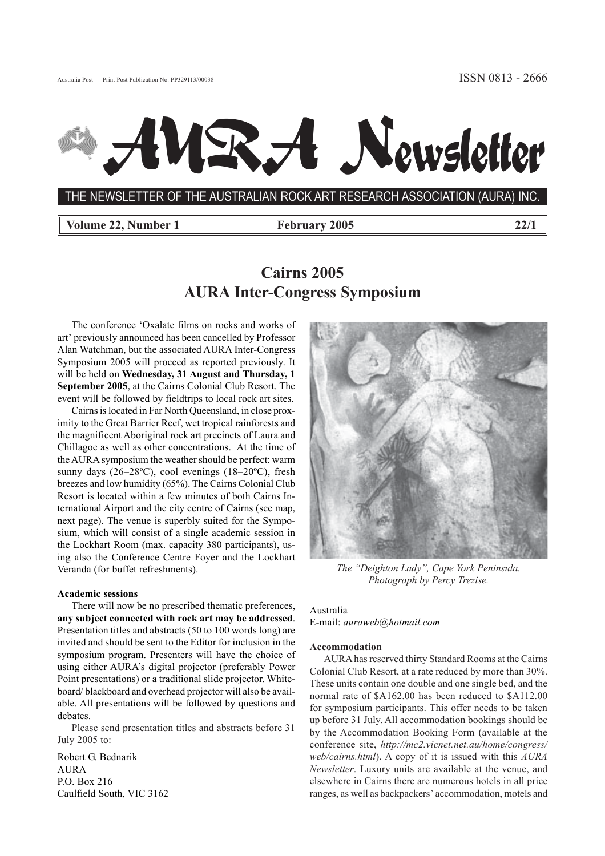# Newsletter

THE NEWSLETTER OF THE AUSTRALIAN ROCK ART RESEARCH ASSOCIATION (AURA) INC.

**Volume 22, Number 1** February 2005 22/1

## **Cairns 2005 AURA Inter-Congress Symposium**

The conference 'Oxalate films on rocks and works of art' previously announced has been cancelled by Professor Alan Watchman, but the associated AURA Inter-Congress Symposium 2005 will proceed as reported previously. It will be held on **Wednesday, 31 August and Thursday, 1 September 2005**, at the Cairns Colonial Club Resort. The event will be followed by fieldtrips to local rock art sites.

Cairns is located in Far North Queensland, in close proximity to the Great Barrier Reef, wet tropical rainforests and the magnificent Aboriginal rock art precincts of Laura and Chillagoe as well as other concentrations. At the time of the AURA symposium the weather should be perfect: warm sunny days (26–28ºC), cool evenings (18–20ºC), fresh breezes and low humidity (65%). The Cairns Colonial Club Resort is located within a few minutes of both Cairns International Airport and the city centre of Cairns (see map, next page). The venue is superbly suited for the Symposium, which will consist of a single academic session in the Lockhart Room (max. capacity 380 participants), using also the Conference Centre Foyer and the Lockhart Veranda (for buffet refreshments).

#### **Academic sessions**

There will now be no prescribed thematic preferences, **any subject connected with rock art may be addressed**. Presentation titles and abstracts (50 to 100 words long) are invited and should be sent to the Editor for inclusion in the symposium program. Presenters will have the choice of using either AURA's digital projector (preferably Power Point presentations) or a traditional slide projector. Whiteboard/ blackboard and overhead projector will also be available. All presentations will be followed by questions and debates.

Please send presentation titles and abstracts before 31 July 2005 to:

Robert G. Bednarik AURA P.O. Box 216 Caulfield South, VIC 3162



*The "Deighton Lady", Cape York Peninsula. Photograph by Percy Trezise.*

Australia E-mail: *auraweb@hotmail.com*

#### **Accommodation**

AURA has reserved thirty Standard Rooms at the Cairns Colonial Club Resort, at a rate reduced by more than 30%. These units contain one double and one single bed, and the normal rate of \$A162.00 has been reduced to \$A112.00 for symposium participants. This offer needs to be taken up before 31 July. All accommodation bookings should be by the Accommodation Booking Form (available at the conference site, *http://mc2.vicnet.net.au/home/congress/ web/cairns.html*). A copy of it is issued with this *AURA Newsletter*. Luxury units are available at the venue, and elsewhere in Cairns there are numerous hotels in all price ranges, as well as backpackers' accommodation, motels and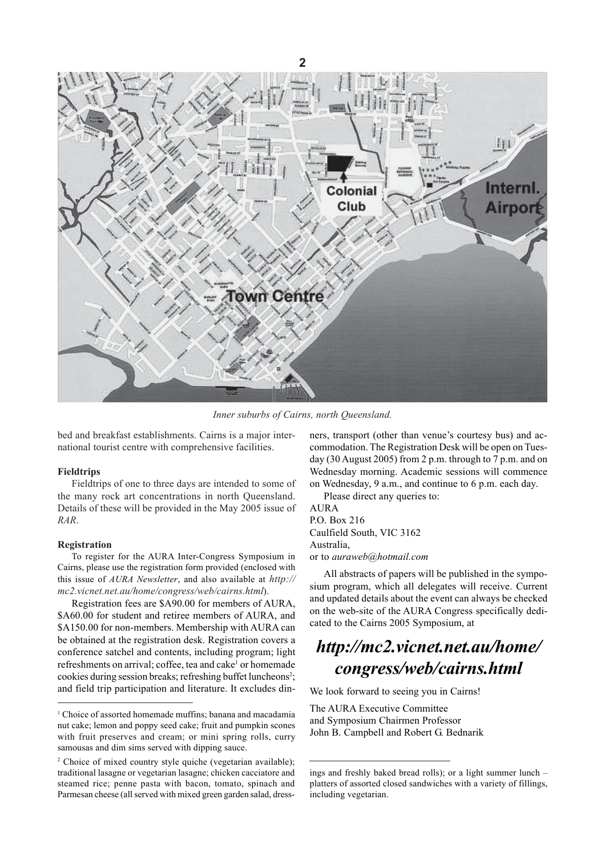

*Inner suburbs of Cairns, north Queensland.*

bed and breakfast establishments. Cairns is a major international tourist centre with comprehensive facilities.

#### **Fieldtrips**

Fieldtrips of one to three days are intended to some of the many rock art concentrations in north Queensland. Details of these will be provided in the May 2005 issue of *RAR*.

#### **Registration**

To register for the AURA Inter-Congress Symposium in Cairns, please use the registration form provided (enclosed with this issue of *AURA Newsletter*, and also available at *http:// mc2.vicnet.net.au/home/congress/web/cairns.html*).

Registration fees are \$A90.00 for members of AURA, \$A60.00 for student and retiree members of AURA, and \$A150.00 for non-members. Membership with AURA can be obtained at the registration desk. Registration covers a conference satchel and contents, including program; light refreshments on arrival; coffee, tea and cake<sup>1</sup> or homemade cookies during session breaks; refreshing buffet luncheons<sup>2</sup>; and field trip participation and literature. It excludes dinners, transport (other than venue's courtesy bus) and accommodation. The Registration Desk will be open on Tuesday (30 August 2005) from 2 p.m. through to 7 p.m. and on Wednesday morning. Academic sessions will commence on Wednesday, 9 a.m., and continue to 6 p.m. each day.

Please direct any queries to:

AURA P.O. Box 216 Caulfield South, VIC 3162 Australia, or to *auraweb@hotmail.com*

All abstracts of papers will be published in the symposium program, which all delegates will receive. Current and updated details about the event can always be checked on the web-site of the AURA Congress specifically dedicated to the Cairns 2005 Symposium, at

## *http://mc2.vicnet.net.au/home/ congress/web/cairns.html*

We look forward to seeing you in Cairns!

The AURA Executive Committee and Symposium Chairmen Professor John B. Campbell and Robert G. Bednarik

<sup>&</sup>lt;sup>1</sup> Choice of assorted homemade muffins; banana and macadamia nut cake; lemon and poppy seed cake; fruit and pumpkin scones with fruit preserves and cream; or mini spring rolls, curry samousas and dim sims served with dipping sauce.

<sup>&</sup>lt;sup>2</sup> Choice of mixed country style quiche (vegetarian available); traditional lasagne or vegetarian lasagne; chicken cacciatore and steamed rice; penne pasta with bacon, tomato, spinach and Parmesan cheese (all served with mixed green garden salad, dress-

ings and freshly baked bread rolls); or a light summer lunch – platters of assorted closed sandwiches with a variety of fillings, including vegetarian.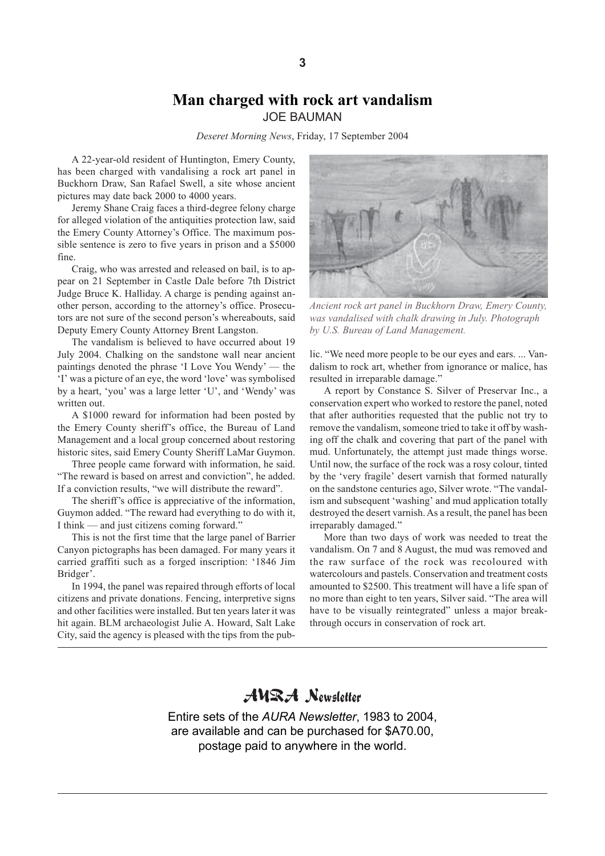## **Man charged with rock art vandalism** JOE BAUMAN

*Deseret Morning News*, Friday, 17 September 2004

A 22-year-old resident of Huntington, Emery County, has been charged with vandalising a rock art panel in Buckhorn Draw, San Rafael Swell, a site whose ancient pictures may date back 2000 to 4000 years.

Jeremy Shane Craig faces a third-degree felony charge for alleged violation of the antiquities protection law, said the Emery County Attorney's Office. The maximum possible sentence is zero to five years in prison and a \$5000 fine.

Craig, who was arrested and released on bail, is to appear on 21 September in Castle Dale before 7th District Judge Bruce K. Halliday. A charge is pending against another person, according to the attorney's office. Prosecutors are not sure of the second person's whereabouts, said Deputy Emery County Attorney Brent Langston.

The vandalism is believed to have occurred about 19 July 2004. Chalking on the sandstone wall near ancient paintings denoted the phrase 'I Love You Wendy' — the 'I' was a picture of an eye, the word 'love' was symbolised by a heart, 'you' was a large letter 'U', and 'Wendy' was written out.

A \$1000 reward for information had been posted by the Emery County sheriff's office, the Bureau of Land Management and a local group concerned about restoring historic sites, said Emery County Sheriff LaMar Guymon.

Three people came forward with information, he said. "The reward is based on arrest and conviction", he added. If a conviction results, "we will distribute the reward".

The sheriff's office is appreciative of the information, Guymon added. "The reward had everything to do with it, I think — and just citizens coming forward."

This is not the first time that the large panel of Barrier Canyon pictographs has been damaged. For many years it carried graffiti such as a forged inscription: '1846 Jim Bridger'.

In 1994, the panel was repaired through efforts of local citizens and private donations. Fencing, interpretive signs and other facilities were installed. But ten years later it was hit again. BLM archaeologist Julie A. Howard, Salt Lake City, said the agency is pleased with the tips from the pub-



*Ancient rock art panel in Buckhorn Draw, Emery County, was vandalised with chalk drawing in July. Photograph by U.S. Bureau of Land Management.*

lic. "We need more people to be our eyes and ears. ... Vandalism to rock art, whether from ignorance or malice, has resulted in irreparable damage."

A report by Constance S. Silver of Preservar Inc., a conservation expert who worked to restore the panel, noted that after authorities requested that the public not try to remove the vandalism, someone tried to take it off by washing off the chalk and covering that part of the panel with mud. Unfortunately, the attempt just made things worse. Until now, the surface of the rock was a rosy colour, tinted by the 'very fragile' desert varnish that formed naturally on the sandstone centuries ago, Silver wrote. "The vandalism and subsequent 'washing' and mud application totally destroyed the desert varnish. As a result, the panel has been irreparably damaged."

More than two days of work was needed to treat the vandalism. On 7 and 8 August, the mud was removed and the raw surface of the rock was recoloured with watercolours and pastels. Conservation and treatment costs amounted to \$2500. This treatment will have a life span of no more than eight to ten years, Silver said. "The area will have to be visually reintegrated" unless a major breakthrough occurs in conservation of rock art.

## AURA Newsletter

Entire sets of the *AURA Newsletter*, 1983 to 2004, are available and can be purchased for \$A70.00, postage paid to anywhere in the world.